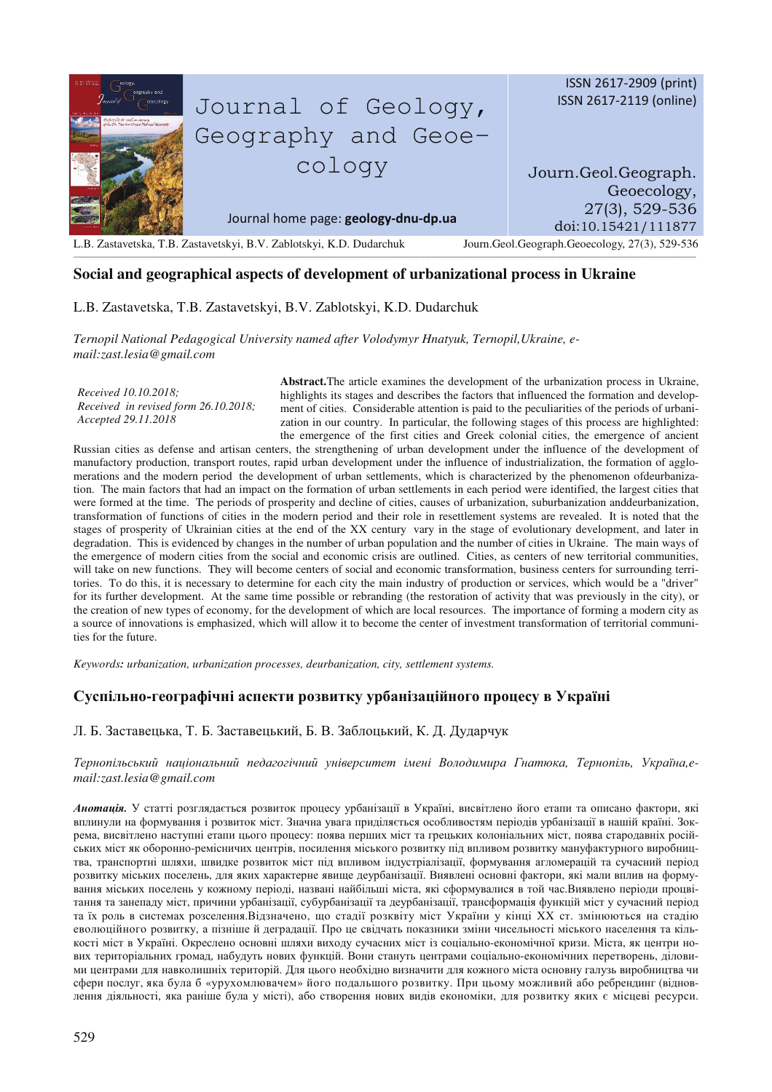

## **Social and geographical aspects of development of urbanizational process in Ukraine**

L.B. Zastavetska, T.B. Zastavetskyi, B.V. Zablotskyi, K.D. Dudarchuk

*Ternopil National Pedagogical University named after Volodymyr Hnatyuk, Ternopil,Ukraine, email:zast.lesia@gmail.com*

*Received 10.10.2018; Received in revised form 26.10.2018; Accepted 29.11.2018* 

**Abstract.**The article examines the development of the urbanization process in Ukraine, highlights its stages and describes the factors that influenced the formation and development of cities. Considerable attention is paid to the peculiarities of the periods of urbanization in our country. In particular, the following stages of this process are highlighted: the emergence of the first cities and Greek colonial cities, the emergence of ancient

Russian cities as defense and artisan centers, the strengthening of urban development under the influence of the development of manufactory production, transport routes, rapid urban development under the influence of industrialization, the formation of agglomerations and the modern period the development of urban settlements, which is characterized by the phenomenon ofdeurbanization. The main factors that had an impact on the formation of urban settlements in each period were identified, the largest cities that were formed at the time. The periods of prosperity and decline of cities, causes of urbanization, suburbanization anddeurbanization, transformation of functions of cities in the modern period and their role in resettlement systems are revealed. It is noted that the stages of prosperity of Ukrainian cities at the end of the XX century vary in the stage of evolutionary development, and later in degradation. This is evidenced by changes in the number of urban population and the number of cities in Ukraine. The main ways of the emergence of modern cities from the social and economic crisis are outlined. Cities, as centers of new territorial communities, will take on new functions. They will become centers of social and economic transformation, business centers for surrounding territories. To do this, it is necessary to determine for each city the main industry of production or services, which would be a "driver" for its further development. At the same time possible or rebranding (the restoration of activity that was previously in the city), or the creation of new types of economy, for the development of which are local resources. The importance of forming a modern city as a source of innovations is emphasized, which will allow it to become the center of investment transformation of territorial communities for the future.

*Keywords: urbanization, urbanization processes, deurbanization, city, settlement systems.* 

## $\bf{C}$ успільно-географічні аспекти розвитку урбанізаційного процесу в Україні

Л. Б. Заставецька, Т. Б. Заставецький, Б. В. Заблоцький, К. Д. Дударчук

Тернопільський національний педагогічний університет імені Володимира Гнатюка, Тернопіль, Україна,е*mail:zast.lesia@gmail.com*

Анотація. У статті розглядається розвиток процесу урбанізації в Україні, висвітлено його етапи та описано фактори, які вплинули на формування і розвиток міст. Значна увага приділяється особливостям періодів урбанізації в нашій країні. Зокрема, висвітлено наступні етапи цього процесу: поява перших міст та грецьких колоніальних міст, поява стародавніх російських міст як оборонно-ремісничих центрів, посилення міського розвитку під впливом розвитку мануфактурного виробництва, транспортні шляхи, швидке розвиток міст під впливом індустріалізації, формування агломерацій та сучасний період розвитку міських поселень, для яких характерне явище деурбанізації. Виявлені основні фактори, які мали вплив на формування міських поселень у кожному періоді, названі найбільші міста, які сформувалися в той час.Виявлено періоди процвітання та занепаду міст, причини урбанізації, субурбанізації та деурбанізації, трансформація функцій міст у сучасний період та їх роль в системах розселення.Відзначено, що стадії розквіту міст України у кінці XX ст. змінюються на стадію еволюційного розвитку, а пізніше й деградації. Про це свідчать показники зміни чисельності міського населення та кількості міст в Україні. Окреслено основні шляхи виходу сучасних міст із соціально-економічної кризи. Міста, як центри нових територіальних громад, набудуть нових функцій. Вони стануть центрами соціально-економічних перетворень, діловими центрами для навколишніх територій. Для цього необхідно визначити для кожного міста основну галузь виробництва чи сфери послуг, яка була б «урухомлювачем» його подальшого розвитку. При цьому можливий або ребрендинг (відновлення діяльності, яка раніше була у місті), або створення нових видів економіки, для розвитку яких є місцеві ресурси.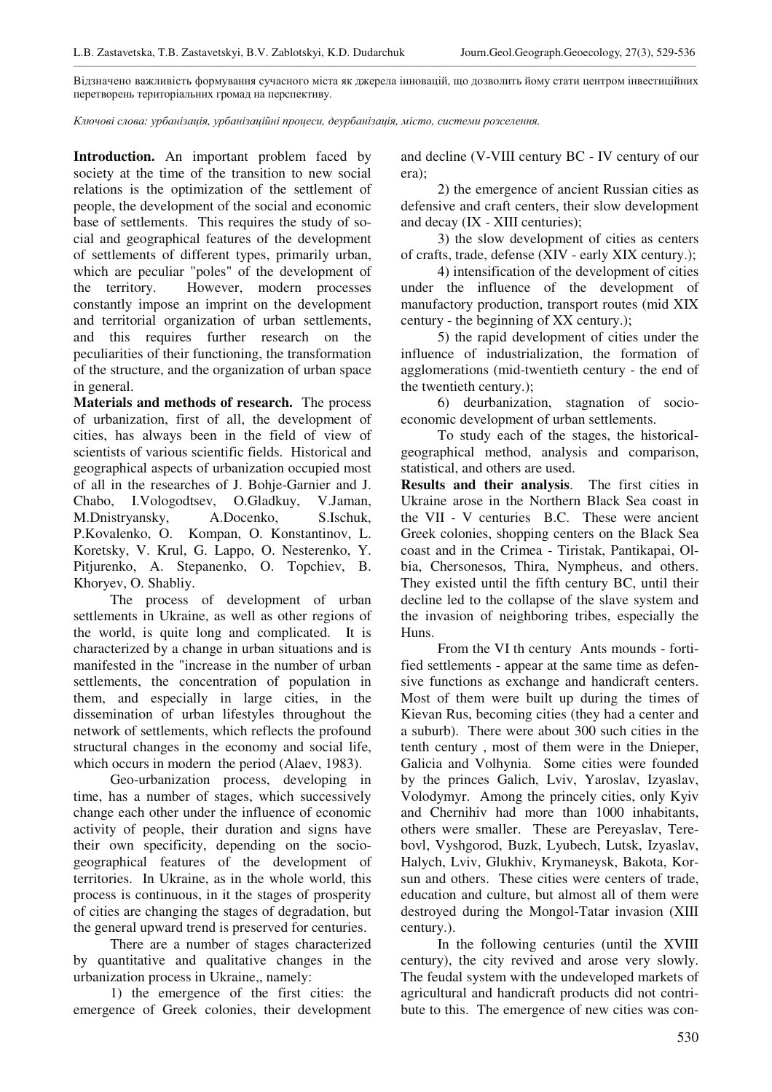\_\_\_\_\_\_\_\_\_\_\_\_\_\_\_\_\_\_\_\_\_\_\_\_\_\_\_\_\_\_\_\_\_\_\_\_\_\_\_\_\_\_\_\_\_\_\_\_\_\_\_\_\_\_\_\_\_\_\_\_\_\_\_\_\_\_\_\_\_\_\_\_\_\_\_\_\_\_\_\_\_\_\_\_\_\_\_\_\_\_\_\_\_\_\_\_\_\_\_\_\_\_\_\_\_\_\_\_\_\_\_\_\_\_\_\_\_\_\_\_\_\_\_\_\_\_\_\_\_\_\_\_\_\_\_\_\_\_\_\_\_\_\_\_\_\_\_\_\_\_\_\_\_\_\_\_\_\_\_\_ Відзначено важливість формування сучасного міста як джерела інновацій, що дозволить йому стати центром інвестиційних перетворень територіальних громад на перспективу.

 $K$ лючові слова: урбанізація, урбанізаційні процеси, деурбанізація, місто, системи розселення.

**Introduction.** An important problem faced by society at the time of the transition to new social relations is the optimization of the settlement of people, the development of the social and economic base of settlements. This requires the study of social and geographical features of the development of settlements of different types, primarily urban, which are peculiar "poles" of the development of the territory. However, modern processes constantly impose an imprint on the development and territorial organization of urban settlements, and this requires further research on the peculiarities of their functioning, the transformation of the structure, and the organization of urban space in general.

**Materials and methods of research.** The process of urbanization, first of all, the development of cities, has always been in the field of view of scientists of various scientific fields. Historical and geographical aspects of urbanization occupied most of all in the researches of J. Bohje-Garnier and J. Chabo, I.Vologodtsev, O.Gladkuy, V.Jaman, M.Dnistryansky, A.Docenko, S.Ischuk, P.Kovalenko, O. Kompan, O. Konstantinov, L. Koretsky, V. Krul, G. Lappo, O. Nesterenko, Y. Pitjurenko, A. Stepanenko, O. Topchiev, B. Khoryev, O. Shabliy.

The process of development of urban settlements in Ukraine, as well as other regions of the world, is quite long and complicated. It is characterized by a change in urban situations and is manifested in the "increase in the number of urban settlements, the concentration of population in them, and especially in large cities, in the dissemination of urban lifestyles throughout the network of settlements, which reflects the profound structural changes in the economy and social life, which occurs in modern the period (Alaev, 1983).

Geo-urbanization process, developing in time, has a number of stages, which successively change each other under the influence of economic activity of people, their duration and signs have their own specificity, depending on the sociogeographical features of the development of territories. In Ukraine, as in the whole world, this process is continuous, in it the stages of prosperity of cities are changing the stages of degradation, but the general upward trend is preserved for centuries.

There are a number of stages characterized by quantitative and qualitative changes in the urbanization process in Ukraine,, namely:

1) the emergence of the first cities: the emergence of Greek colonies, their development and decline (V-VIII century BC - IV century of our era);

2) the emergence of ancient Russian cities as defensive and craft centers, their slow development and decay (IX - XIII centuries);

3) the slow development of cities as centers of crafts, trade, defense (XIV - early XIX century.);

4) intensification of the development of cities under the influence of the development of manufactory production, transport routes (mid XIX century - the beginning of XX century.);

5) the rapid development of cities under the influence of industrialization, the formation of agglomerations (mid-twentieth century - the end of the twentieth century.);

6) deurbanization, stagnation of socioeconomic development of urban settlements.

To study each of the stages, the historicalgeographical method, analysis and comparison, statistical, and others are used.

**Results and their analysis**. The first cities in Ukraine arose in the Northern Black Sea coast in the VII - V centuries B.C. These were ancient Greek colonies, shopping centers on the Black Sea coast and in the Crimea - Tiristak, Pantikapai, Olbia, Chersonesos, Thira, Nympheus, and others. They existed until the fifth century BC, until their decline led to the collapse of the slave system and the invasion of neighboring tribes, especially the Huns.

From the VI th century Ants mounds - fortified settlements - appear at the same time as defensive functions as exchange and handicraft centers. Most of them were built up during the times of Kievan Rus, becoming cities (they had a center and a suburb). There were about 300 such cities in the tenth century , most of them were in the Dnieper, Galicia and Volhynia. Some cities were founded by the princes Galich, Lviv, Yaroslav, Izyaslav, Volodymyr. Among the princely cities, only Kyiv and Chernihiv had more than 1000 inhabitants, others were smaller. These are Pereyaslav, Terebovl, Vyshgorod, Buzk, Lyubech, Lutsk, Izyaslav, Halych, Lviv, Glukhiv, Krymaneysk, Bakota, Korsun and others. These cities were centers of trade, education and culture, but almost all of them were destroyed during the Mongol-Tatar invasion (XIII century.).

In the following centuries (until the XVIII century), the city revived and arose very slowly. The feudal system with the undeveloped markets of agricultural and handicraft products did not contribute to this. The emergence of new cities was con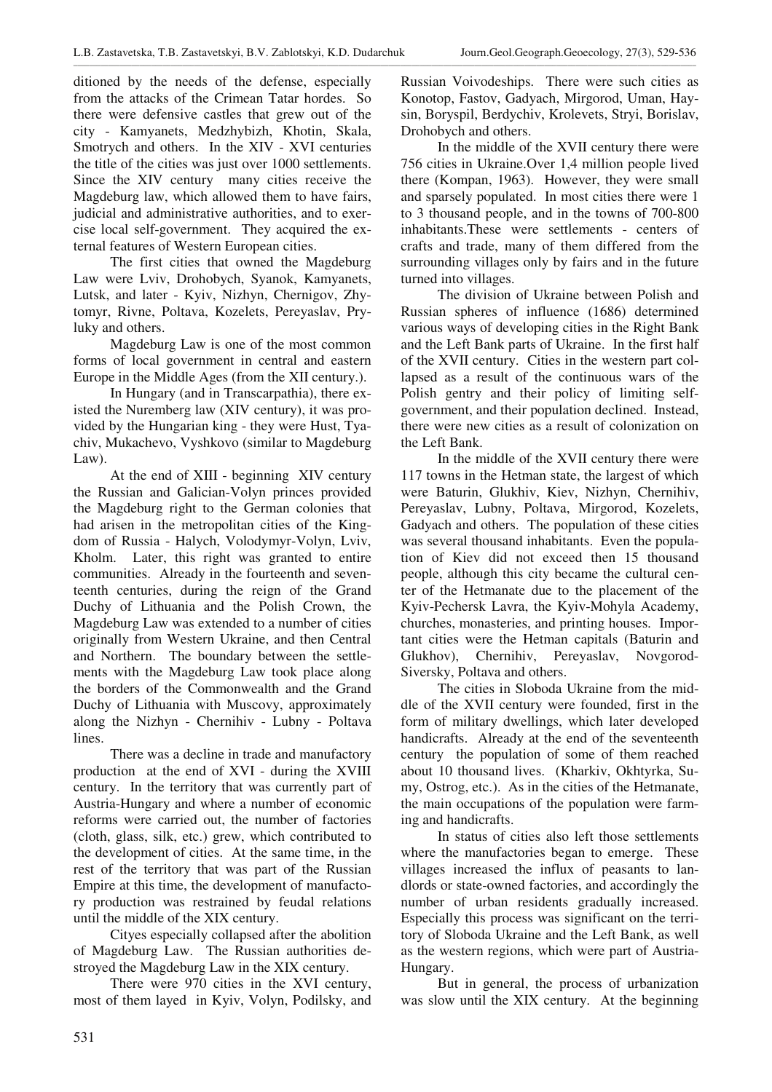ditioned by the needs of the defense, especially from the attacks of the Crimean Tatar hordes. So there were defensive castles that grew out of the city - Kamyanets, Medzhybizh, Khotin, Skala, Smotrych and others. In the XIV - XVI centuries the title of the cities was just over 1000 settlements. Since the XIV century many cities receive the Magdeburg law, which allowed them to have fairs, judicial and administrative authorities, and to exercise local self-government. They acquired the external features of Western European cities.

The first cities that owned the Magdeburg Law were Lviv, Drohobych, Syanok, Kamyanets, Lutsk, and later - Kyiv, Nizhyn, Chernigov, Zhytomyr, Rivne, Poltava, Kozelets, Pereyaslav, Pryluky and others.

Magdeburg Law is one of the most common forms of local government in central and eastern Europe in the Middle Ages (from the XII century.).

In Hungary (and in Transcarpathia), there existed the Nuremberg law (XIV century), it was provided by the Hungarian king - they were Hust, Tyachiv, Mukachevo, Vyshkovo (similar to Magdeburg Law).

At the end of XIII - beginning XIV century the Russian and Galician-Volyn princes provided the Magdeburg right to the German colonies that had arisen in the metropolitan cities of the Kingdom of Russia - Halych, Volodymyr-Volyn, Lviv, Kholm. Later, this right was granted to entire communities. Already in the fourteenth and seventeenth centuries, during the reign of the Grand Duchy of Lithuania and the Polish Crown, the Magdeburg Law was extended to a number of cities originally from Western Ukraine, and then Central and Northern. The boundary between the settlements with the Magdeburg Law took place along the borders of the Commonwealth and the Grand Duchy of Lithuania with Muscovy, approximately along the Nizhyn - Chernihiv - Lubny - Poltava lines.

There was a decline in trade and manufactory production at the end of XVI - during the XVIII century. In the territory that was currently part of Austria-Hungary and where a number of economic reforms were carried out, the number of factories (cloth, glass, silk, etc.) grew, which contributed to the development of cities. At the same time, in the rest of the territory that was part of the Russian Empire at this time, the development of manufactory production was restrained by feudal relations until the middle of the XIX century.

Cityes especially collapsed after the abolition of Magdeburg Law. The Russian authorities destroyed the Magdeburg Law in the XIX century.

There were 970 cities in the XVI century, most of them layed in Kyiv, Volyn, Podilsky, and Russian Voivodeships. There were such cities as Konotop, Fastov, Gadyach, Mirgorod, Uman, Haysin, Boryspil, Berdychiv, Krolevets, Stryi, Borislav, Drohobych and others.

In the middle of the XVII century there were 756 cities in Ukraine.Over 1,4 million people lived there (Kompan, 1963). However, they were small and sparsely populated. In most cities there were 1 to 3 thousand people, and in the towns of 700-800 inhabitants.These were settlements - centers of crafts and trade, many of them differed from the surrounding villages only by fairs and in the future turned into villages.

The division of Ukraine between Polish and Russian spheres of influence (1686) determined various ways of developing cities in the Right Bank and the Left Bank parts of Ukraine. In the first half of the XVII century. Cities in the western part collapsed as a result of the continuous wars of the Polish gentry and their policy of limiting selfgovernment, and their population declined. Instead, there were new cities as a result of colonization on the Left Bank.

In the middle of the XVII century there were 117 towns in the Hetman state, the largest of which were Baturin, Glukhiv, Kiev, Nizhyn, Chernihiv, Pereyaslav, Lubny, Poltava, Mirgorod, Kozelets, Gadyach and others. The population of these cities was several thousand inhabitants. Even the population of Kiev did not exceed then 15 thousand people, although this city became the cultural center of the Hetmanate due to the placement of the Kyiv-Pechersk Lavra, the Kyiv-Mohyla Academy, churches, monasteries, and printing houses. Important cities were the Hetman capitals (Baturin and Glukhov), Chernihiv, Pereyaslav, Novgorod-Siversky, Poltava and others.

The cities in Sloboda Ukraine from the middle of the XVII century were founded, first in the form of military dwellings, which later developed handicrafts. Already at the end of the seventeenth century the population of some of them reached about 10 thousand lives. (Kharkiv, Okhtyrka, Sumy, Ostrog, etc.). As in the cities of the Hetmanate, the main occupations of the population were farming and handicrafts.

In status of cities also left those settlements where the manufactories began to emerge. These villages increased the influx of peasants to landlords or state-owned factories, and accordingly the number of urban residents gradually increased. Especially this process was significant on the territory of Sloboda Ukraine and the Left Bank, as well as the western regions, which were part of Austria-Hungary.

But in general, the process of urbanization was slow until the XIX century. At the beginning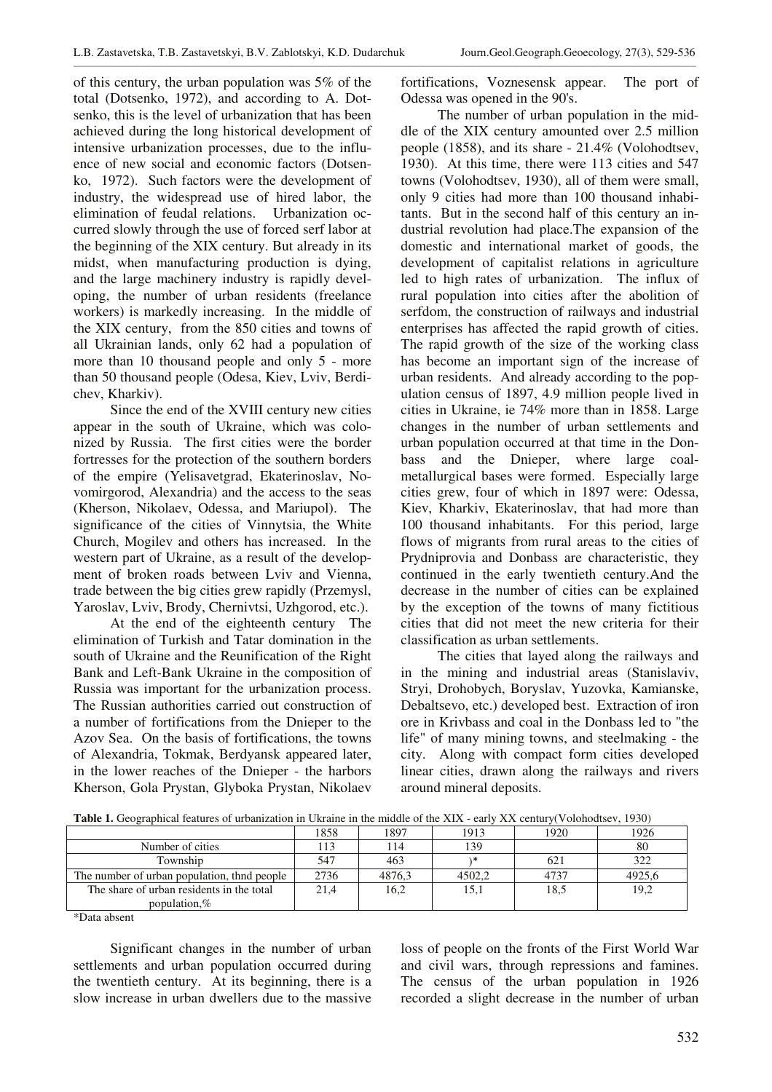\_\_\_\_\_\_\_\_\_\_\_\_\_\_\_\_\_\_\_\_\_\_\_\_\_\_\_\_\_\_\_\_\_\_\_\_\_\_\_\_\_\_\_\_\_\_\_\_\_\_\_\_\_\_\_\_\_\_\_\_\_\_\_\_\_\_\_\_\_\_\_\_\_\_\_\_\_\_\_\_\_\_\_\_\_\_\_\_\_\_\_\_\_\_\_\_\_\_\_\_\_\_\_\_\_\_\_\_\_\_\_\_\_\_\_\_\_\_\_\_\_\_\_\_\_\_\_\_\_\_\_\_\_\_\_\_\_\_\_\_\_\_\_\_\_\_\_\_\_\_\_\_\_\_\_\_\_\_\_\_

of this century, the urban population was 5% of the total (Dotsenko, 1972), and according to A. Dotsenko, this is the level of urbanization that has been achieved during the long historical development of intensive urbanization processes, due to the influence of new social and economic factors (Dotsenko, 1972). Such factors were the development of industry, the widespread use of hired labor, the elimination of feudal relations. Urbanization occurred slowly through the use of forced serf labor at the beginning of the XIX century. But already in its midst, when manufacturing production is dying, and the large machinery industry is rapidly developing, the number of urban residents (freelance workers) is markedly increasing. In the middle of the XIX century, from the 850 cities and towns of all Ukrainian lands, only 62 had a population of more than 10 thousand people and only 5 - more than 50 thousand people (Odesa, Kiev, Lviv, Berdichev, Kharkiv).

Since the end of the XVIII century new cities appear in the south of Ukraine, which was colonized by Russia. The first cities were the border fortresses for the protection of the southern borders of the empire (Yelisavetgrad, Ekaterinoslav, Novomirgorod, Alexandria) and the access to the seas (Kherson, Nikolaev, Odessa, and Mariupol). The significance of the cities of Vinnytsia, the White Church, Mogilev and others has increased. In the western part of Ukraine, as a result of the development of broken roads between Lviv and Vienna, trade between the big cities grew rapidly (Przemysl, Yaroslav, Lviv, Brody, Chernivtsi, Uzhgorod, etc.).

At the end of the eighteenth century The elimination of Turkish and Tatar domination in the south of Ukraine and the Reunification of the Right Bank and Left-Bank Ukraine in the composition of Russia was important for the urbanization process. The Russian authorities carried out construction of a number of fortifications from the Dnieper to the Azov Sea. On the basis of fortifications, the towns of Alexandria, Tokmak, Berdyansk appeared later, in the lower reaches of the Dnieper - the harbors Kherson, Gola Prystan, Glyboka Prystan, Nikolaev

fortifications, Voznesensk appear. The port of Odessa was opened in the 90's.

The number of urban population in the middle of the XIX century amounted over 2.5 million people (1858), and its share - 21.4% (Volohodtsev, 1930). At this time, there were 113 cities and 547 towns (Volohodtsev, 1930), all of them were small, only 9 cities had more than 100 thousand inhabitants. But in the second half of this century an industrial revolution had place.The expansion of the domestic and international market of goods, the development of capitalist relations in agriculture led to high rates of urbanization. The influx of rural population into cities after the abolition of serfdom, the construction of railways and industrial enterprises has affected the rapid growth of cities. The rapid growth of the size of the working class has become an important sign of the increase of urban residents. And already according to the population census of 1897, 4.9 million people lived in cities in Ukraine, ie 74% more than in 1858. Large changes in the number of urban settlements and urban population occurred at that time in the Donbass and the Dnieper, where large coalmetallurgical bases were formed. Especially large cities grew, four of which in 1897 were: Odessa, Kiev, Kharkiv, Ekaterinoslav, that had more than 100 thousand inhabitants. For this period, large flows of migrants from rural areas to the cities of Prydniprovia and Donbass are characteristic, they continued in the early twentieth century.And the decrease in the number of cities can be explained by the exception of the towns of many fictitious cities that did not meet the new criteria for their classification as urban settlements.

The cities that layed along the railways and in the mining and industrial areas (Stanislaviv, Stryi, Drohobych, Boryslav, Yuzovka, Kamianske, Debaltsevo, etc.) developed best. Extraction of iron ore in Krivbass and coal in the Donbass led to "the life" of many mining towns, and steelmaking - the city. Along with compact form cities developed linear cities, drawn along the railways and rivers around mineral deposits.

| <b>Table 1.</b> Ocographical icaules of urbanization in exiatile in the middle of the ATA - carry AA century( VOIOIOuSCV, 1990) |      |        |        |      |        |  |
|---------------------------------------------------------------------------------------------------------------------------------|------|--------|--------|------|--------|--|
|                                                                                                                                 | 1858 | 1897   | 1913   | 1920 | 1926   |  |
| Number of cities                                                                                                                |      | 114    | 139    |      | 80     |  |
| Township                                                                                                                        | 547  | 463    |        | 621  | 322    |  |
| The number of urban population, thin people                                                                                     | 2736 | 4876.3 | 4502.2 | 4737 | 4925,6 |  |
| The share of urban residents in the total                                                                                       | 21.4 | 16,2   | 15.1   | 18.5 | 19,2   |  |
| population. $%$                                                                                                                 |      |        |        |      |        |  |

**Table 1.** Geographical features of urbanization in Ukraine in the middle of the XIX - early XX century(Volohodtsev, 1930)

\*Data absent

Significant changes in the number of urban settlements and urban population occurred during the twentieth century. At its beginning, there is a slow increase in urban dwellers due to the massive

loss of people on the fronts of the First World War and civil wars, through repressions and famines. The census of the urban population in 1926 recorded a slight decrease in the number of urban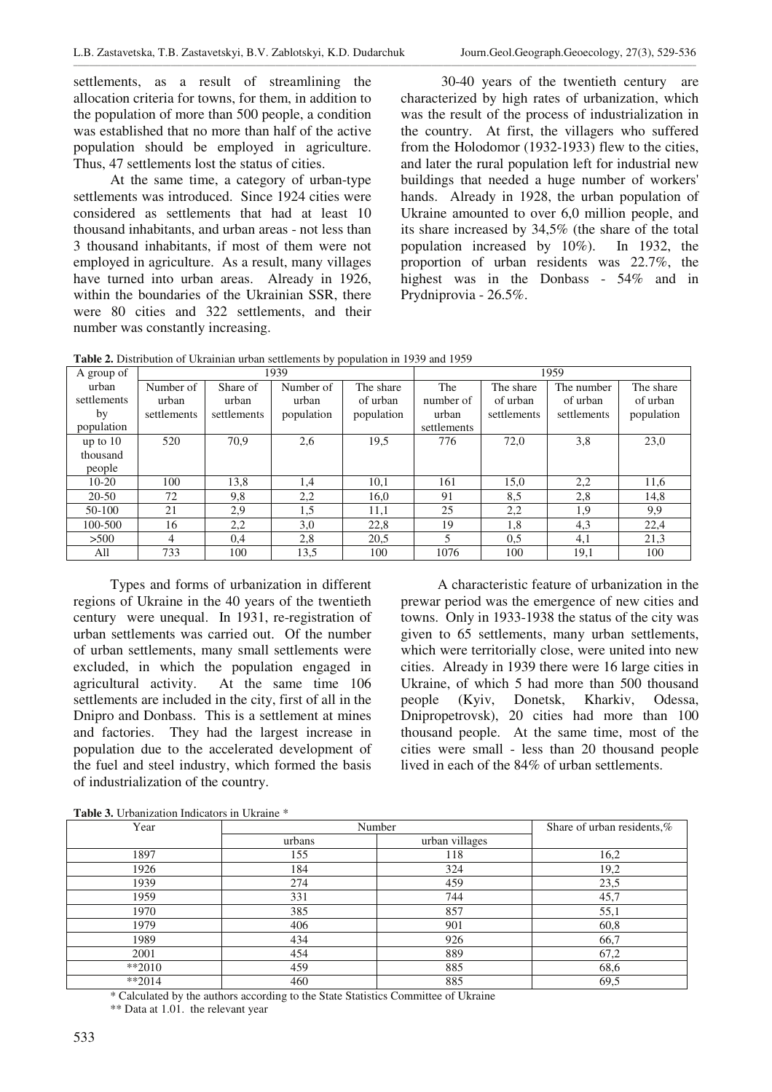settlements, as a result of streamlining the allocation criteria for towns, for them, in addition to the population of more than 500 people, a condition was established that no more than half of the active population should be employed in agriculture. Thus, 47 settlements lost the status of cities.

At the same time, a category of urban-type settlements was introduced. Since 1924 cities were considered as settlements that had at least 10 thousand inhabitants, and urban areas - not less than 3 thousand inhabitants, if most of them were not employed in agriculture. As a result, many villages have turned into urban areas. Already in 1926, within the boundaries of the Ukrainian SSR, there were 80 cities and 322 settlements, and their number was constantly increasing.

 30-40 years of the twentieth century are characterized by high rates of urbanization, which was the result of the process of industrialization in the country. At first, the villagers who suffered from the Holodomor (1932-1933) flew to the cities, and later the rural population left for industrial new buildings that needed a huge number of workers' hands. Already in 1928, the urban population of Ukraine amounted to over 6,0 million people, and its share increased by 34,5% (the share of the total population increased by 10%). In 1932, the proportion of urban residents was 22.7%, the highest was in the Donbass - 54% and in Prydniprovia - 26.5%.

**Table 2.** Distribution of Ukrainian urban settlements by population in 1939 and 1959

| A group of  | 1939        |             |            | 1959       |             |             |             |            |
|-------------|-------------|-------------|------------|------------|-------------|-------------|-------------|------------|
| urban       | Number of   | Share of    | Number of  | The share  | The         | The share   | The number  | The share  |
| settlements | urban       | urban       | urban      | of urban   | number of   | of urban    | of urban    | of urban   |
| by          | settlements | settlements | population | population | urban       | settlements | settlements | population |
| population  |             |             |            |            | settlements |             |             |            |
| up to 10    | 520         | 70.9        | 2,6        | 19,5       | 776         | 72,0        | 3,8         | 23,0       |
| thousand    |             |             |            |            |             |             |             |            |
| people      |             |             |            |            |             |             |             |            |
| $10-20$     | 100         | 13,8        | 1,4        | 10,1       | 161         | 15,0        | 2,2         | 11,6       |
| 20-50       | 72          | 9,8         | 2,2        | 16,0       | 91          | 8,5         | 2,8         | 14,8       |
| 50-100      | 21          | 2,9         | 1,5        | 11,1       | 25          | 2,2         | 1,9         | 9,9        |
| 100-500     | 16          | 2,2         | 3,0        | 22,8       | 19          | 1,8         | 4,3         | 22,4       |
| >500        | 4           | 0,4         | 2,8        | 20,5       | 5           | 0.5         | 4,1         | 21,3       |
| All         | 733         | 100         | 13.5       | 100        | 1076        | 100         | 19,1        | 100        |

Types and forms of urbanization in different regions of Ukraine in the 40 years of the twentieth century were unequal. In 1931, re-registration of urban settlements was carried out. Of the number of urban settlements, many small settlements were excluded, in which the population engaged in agricultural activity. At the same time 106 settlements are included in the city, first of all in the Dnipro and Donbass. This is a settlement at mines and factories. They had the largest increase in population due to the accelerated development of the fuel and steel industry, which formed the basis of industrialization of the country.

A characteristic feature of urbanization in the prewar period was the emergence of new cities and towns. Only in 1933-1938 the status of the city was given to 65 settlements, many urban settlements, which were territorially close, were united into new cities. Already in 1939 there were 16 large cities in Ukraine, of which 5 had more than 500 thousand people (Kyiv, Donetsk, Kharkiv, Odessa, Dnipropetrovsk), 20 cities had more than 100 thousand people. At the same time, most of the cities were small - less than 20 thousand people lived in each of the 84% of urban settlements.

| Year     | Number | Share of urban residents,% |      |
|----------|--------|----------------------------|------|
|          | urbans | urban villages             |      |
| 1897     | 155    | 118                        | 16,2 |
| 1926     | 184    | 324                        | 19,2 |
| 1939     | 274    | 459                        | 23,5 |
| 1959     | 331    | 744                        | 45,7 |
| 1970     | 385    | 857                        | 55,1 |
| 1979     | 406    | 901                        | 60,8 |
| 1989     | 434    | 926                        | 66,7 |
| 2001     | 454    | 889                        | 67,2 |
| $*2010$  | 459    | 885                        | 68,6 |
| $**2014$ | 460    | 885                        | 69,5 |

**Table 3.** Urbanization Indicators in Ukraine \*

\* Calculated by the authors according to the State Statistics Committee of Ukraine

\*\* Data at 1.01. the relevant year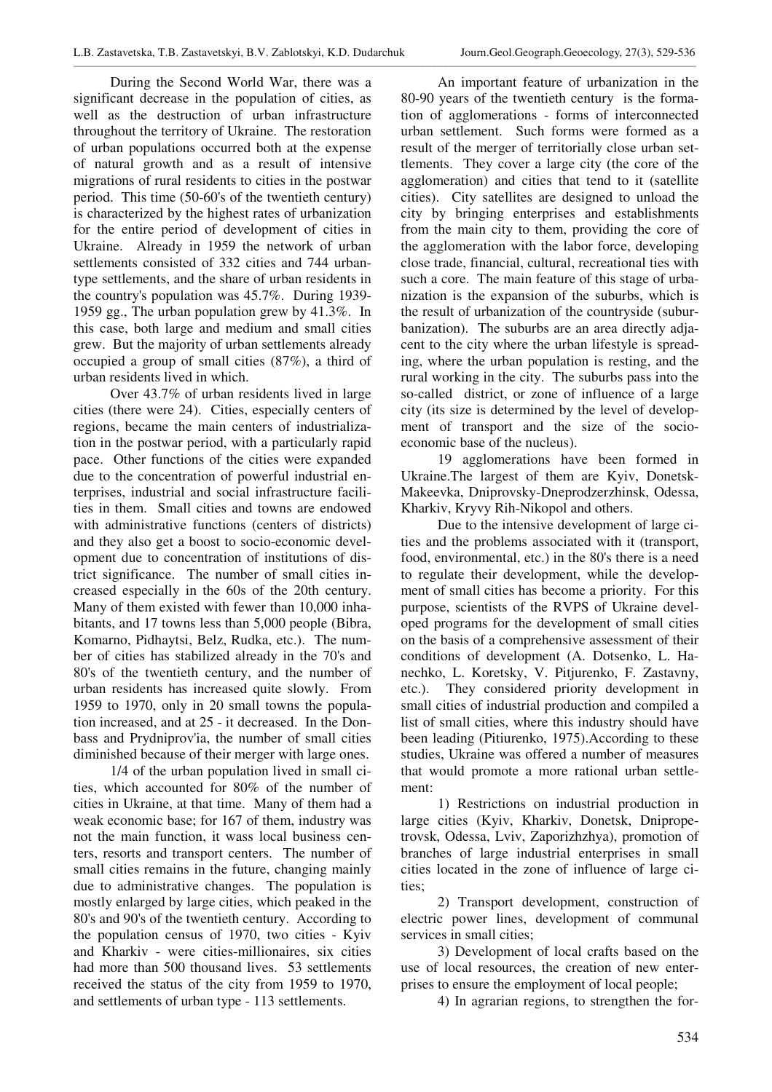During the Second World War, there was a significant decrease in the population of cities, as well as the destruction of urban infrastructure throughout the territory of Ukraine. The restoration of urban populations occurred both at the expense of natural growth and as a result of intensive migrations of rural residents to cities in the postwar period. This time (50-60's of the twentieth century) is characterized by the highest rates of urbanization for the entire period of development of cities in Ukraine. Already in 1959 the network of urban settlements consisted of 332 cities and 744 urbantype settlements, and the share of urban residents in the country's population was 45.7%. During 1939- 1959 gg., The urban population grew by 41.3%. In this case, both large and medium and small cities grew. But the majority of urban settlements already occupied a group of small cities (87%), a third of urban residents lived in which.

Over 43.7% of urban residents lived in large cities (there were 24). Cities, especially centers of regions, became the main centers of industrialization in the postwar period, with a particularly rapid pace. Other functions of the cities were expanded due to the concentration of powerful industrial enterprises, industrial and social infrastructure facilities in them. Small cities and towns are endowed with administrative functions (centers of districts) and they also get a boost to socio-economic development due to concentration of institutions of district significance. The number of small cities increased especially in the 60s of the 20th century. Many of them existed with fewer than 10,000 inhabitants, and 17 towns less than 5,000 people (Bibra, Komarno, Pidhaytsi, Belz, Rudka, etc.). The number of cities has stabilized already in the 70's and 80's of the twentieth century, and the number of urban residents has increased quite slowly. From 1959 to 1970, only in 20 small towns the population increased, and at 25 - it decreased. In the Donbass and Prydniprov'ia, the number of small cities diminished because of their merger with large ones.

1/4 of the urban population lived in small cities, which accounted for 80% of the number of cities in Ukraine, at that time. Many of them had a weak economic base; for 167 of them, industry was not the main function, it wass local business centers, resorts and transport centers. The number of small cities remains in the future, changing mainly due to administrative changes. The population is mostly enlarged by large cities, which peaked in the 80's and 90's of the twentieth century. According to the population census of 1970, two cities - Kyiv and Kharkiv - were cities-millionaires, six cities had more than 500 thousand lives. 53 settlements received the status of the city from 1959 to 1970, and settlements of urban type - 113 settlements.

An important feature of urbanization in the 80-90 years of the twentieth century is the formation of agglomerations - forms of interconnected urban settlement. Such forms were formed as a result of the merger of territorially close urban settlements. They cover a large city (the core of the agglomeration) and cities that tend to it (satellite cities). City satellites are designed to unload the city by bringing enterprises and establishments from the main city to them, providing the core of the agglomeration with the labor force, developing close trade, financial, cultural, recreational ties with such a core. The main feature of this stage of urbanization is the expansion of the suburbs, which is the result of urbanization of the countryside (suburbanization). The suburbs are an area directly adjacent to the city where the urban lifestyle is spreading, where the urban population is resting, and the rural working in the city. The suburbs pass into the so-called district, or zone of influence of a large city (its size is determined by the level of development of transport and the size of the socioeconomic base of the nucleus).

19 agglomerations have been formed in Ukraine.The largest of them are Kyiv, Donetsk-Makeevka, Dniprovsky-Dneprodzerzhinsk, Odessa, Kharkiv, Kryvy Rih-Nikopol and others.

Due to the intensive development of large cities and the problems associated with it (transport, food, environmental, etc.) in the 80's there is a need to regulate their development, while the development of small cities has become a priority. For this purpose, scientists of the RVPS of Ukraine developed programs for the development of small cities on the basis of a comprehensive assessment of their conditions of development (A. Dotsenko, L. Hanechko, L. Koretsky, V. Pitjurenko, F. Zastavny, etc.). They considered priority development in small cities of industrial production and compiled a list of small cities, where this industry should have been leading (Pitiurenko, 1975).According to these studies, Ukraine was offered a number of measures that would promote a more rational urban settlement:

1) Restrictions on industrial production in large cities (Kyiv, Kharkiv, Donetsk, Dnipropetrovsk, Odessa, Lviv, Zaporizhzhya), promotion of branches of large industrial enterprises in small cities located in the zone of influence of large cities;

2) Transport development, construction of electric power lines, development of communal services in small cities;

3) Development of local crafts based on the use of local resources, the creation of new enterprises to ensure the employment of local people;

4) In agrarian regions, to strengthen the for-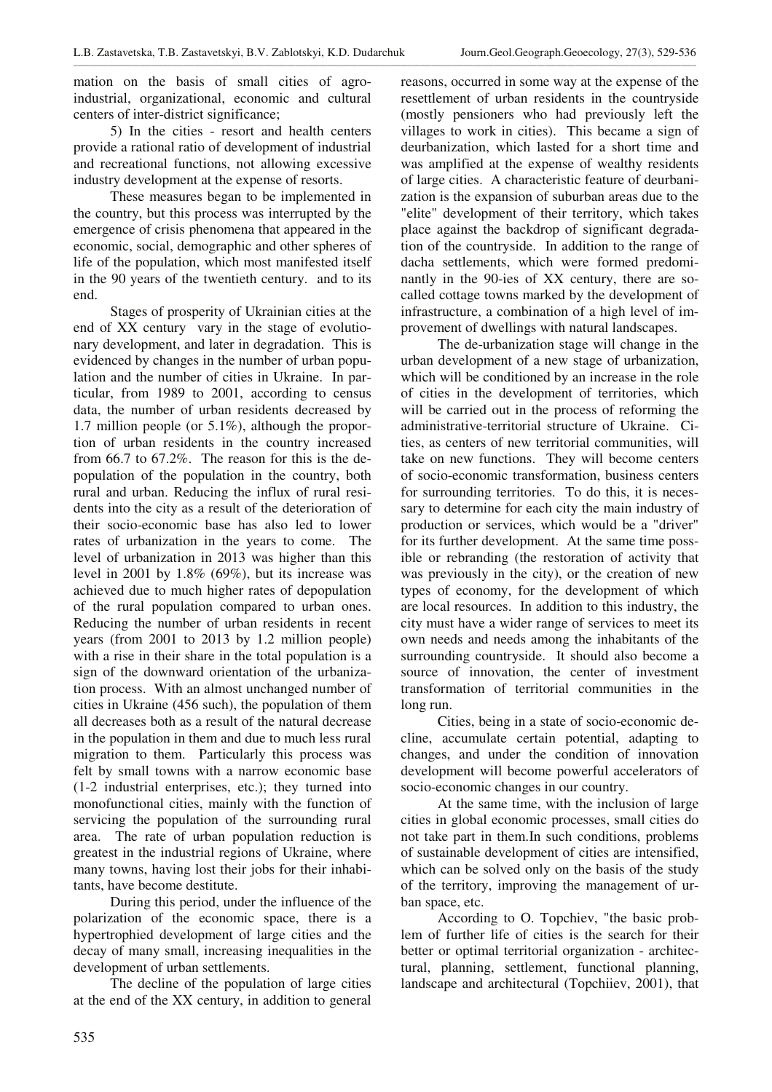mation on the basis of small cities of agroindustrial, organizational, economic and cultural centers of inter-district significance;

5) In the cities - resort and health centers provide a rational ratio of development of industrial and recreational functions, not allowing excessive industry development at the expense of resorts.

These measures began to be implemented in the country, but this process was interrupted by the emergence of crisis phenomena that appeared in the economic, social, demographic and other spheres of life of the population, which most manifested itself in the 90 years of the twentieth century. and to its end.

Stages of prosperity of Ukrainian cities at the end of XX century vary in the stage of evolutionary development, and later in degradation. This is evidenced by changes in the number of urban population and the number of cities in Ukraine. In particular, from 1989 to 2001, according to census data, the number of urban residents decreased by 1.7 million people (or 5.1%), although the proportion of urban residents in the country increased from 66.7 to 67.2%. The reason for this is the depopulation of the population in the country, both rural and urban. Reducing the influx of rural residents into the city as a result of the deterioration of their socio-economic base has also led to lower rates of urbanization in the years to come. The level of urbanization in 2013 was higher than this level in 2001 by 1.8% (69%), but its increase was achieved due to much higher rates of depopulation of the rural population compared to urban ones. Reducing the number of urban residents in recent years (from 2001 to 2013 by 1.2 million people) with a rise in their share in the total population is a sign of the downward orientation of the urbanization process. With an almost unchanged number of cities in Ukraine (456 such), the population of them all decreases both as a result of the natural decrease in the population in them and due to much less rural migration to them. Particularly this process was felt by small towns with a narrow economic base (1-2 industrial enterprises, etc.); they turned into monofunctional cities, mainly with the function of servicing the population of the surrounding rural area. The rate of urban population reduction is greatest in the industrial regions of Ukraine, where many towns, having lost their jobs for their inhabitants, have become destitute.

During this period, under the influence of the polarization of the economic space, there is a hypertrophied development of large cities and the decay of many small, increasing inequalities in the development of urban settlements.

The decline of the population of large cities at the end of the XX century, in addition to general

reasons, occurred in some way at the expense of the resettlement of urban residents in the countryside (mostly pensioners who had previously left the villages to work in cities). This became a sign of deurbanization, which lasted for a short time and was amplified at the expense of wealthy residents of large cities. A characteristic feature of deurbanization is the expansion of suburban areas due to the "elite" development of their territory, which takes place against the backdrop of significant degradation of the countryside. In addition to the range of dacha settlements, which were formed predominantly in the 90-ies of XX century, there are socalled cottage towns marked by the development of infrastructure, a combination of a high level of improvement of dwellings with natural landscapes.

The de-urbanization stage will change in the urban development of a new stage of urbanization, which will be conditioned by an increase in the role of cities in the development of territories, which will be carried out in the process of reforming the administrative-territorial structure of Ukraine. Cities, as centers of new territorial communities, will take on new functions. They will become centers of socio-economic transformation, business centers for surrounding territories. To do this, it is necessary to determine for each city the main industry of production or services, which would be a "driver" for its further development. At the same time possible or rebranding (the restoration of activity that was previously in the city), or the creation of new types of economy, for the development of which are local resources. In addition to this industry, the city must have a wider range of services to meet its own needs and needs among the inhabitants of the surrounding countryside. It should also become a source of innovation, the center of investment transformation of territorial communities in the long run.

Cities, being in a state of socio-economic decline, accumulate certain potential, adapting to changes, and under the condition of innovation development will become powerful accelerators of socio-economic changes in our country.

At the same time, with the inclusion of large cities in global economic processes, small cities do not take part in them.In such conditions, problems of sustainable development of cities are intensified, which can be solved only on the basis of the study of the territory, improving the management of urban space, etc.

According to O. Topchiev, "the basic problem of further life of cities is the search for their better or optimal territorial organization - architectural, planning, settlement, functional planning, landscape and architectural (Topchiiev, 2001), that